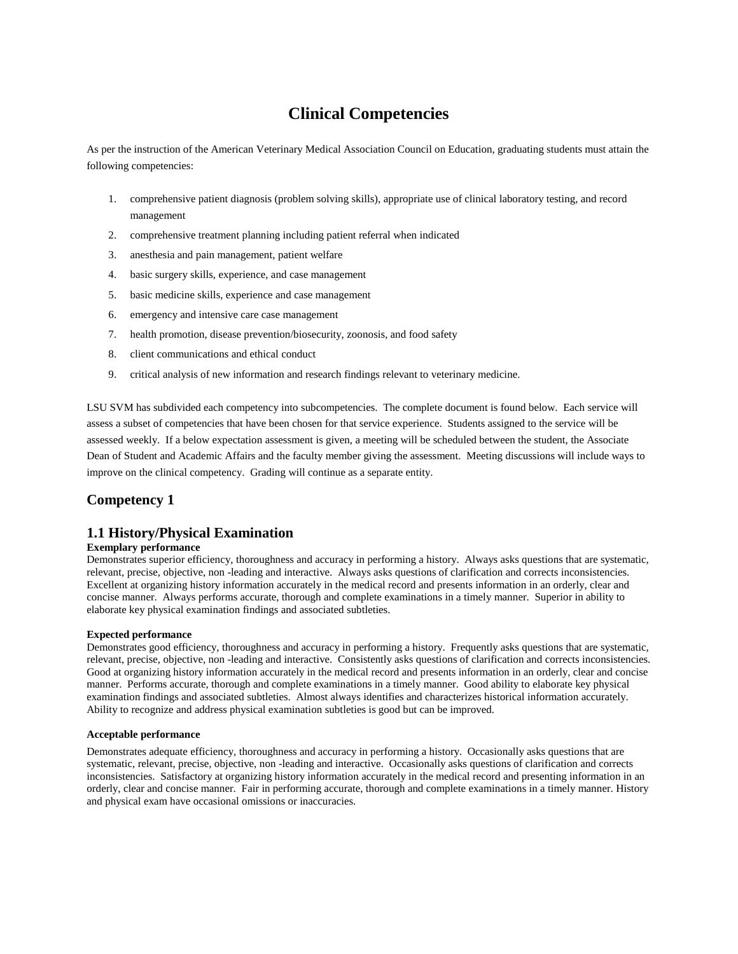# **Clinical Competencies**

As per the instruction of the American Veterinary Medical Association Council on Education, graduating students must attain the following competencies:

- 1. comprehensive patient diagnosis (problem solving skills), appropriate use of clinical laboratory testing, and record management
- 2. comprehensive treatment planning including patient referral when indicated
- 3. anesthesia and pain management, patient welfare
- 4. basic surgery skills, experience, and case management
- 5. basic medicine skills, experience and case management
- 6. emergency and intensive care case management
- 7. health promotion, disease prevention/biosecurity, zoonosis, and food safety
- 8. client communications and ethical conduct
- 9. critical analysis of new information and research findings relevant to veterinary medicine.

LSU SVM has subdivided each competency into subcompetencies. The complete document is found below. Each service will assess a subset of competencies that have been chosen for that service experience. Students assigned to the service will be assessed weekly. If a below expectation assessment is given, a meeting will be scheduled between the student, the Associate Dean of Student and Academic Affairs and the faculty member giving the assessment. Meeting discussions will include ways to improve on the clinical competency. Grading will continue as a separate entity.

# **Competency 1**

# **1.1 History/Physical Examination**

# **Exemplary performance**

Demonstrates superior efficiency, thoroughness and accuracy in performing a history. Always asks questions that are systematic, relevant, precise, objective, non -leading and interactive. Always asks questions of clarification and corrects inconsistencies. Excellent at organizing history information accurately in the medical record and presents information in an orderly, clear and concise manner. Always performs accurate, thorough and complete examinations in a timely manner. Superior in ability to elaborate key physical examination findings and associated subtleties.

## **Expected performance**

Demonstrates good efficiency, thoroughness and accuracy in performing a history. Frequently asks questions that are systematic, relevant, precise, objective, non -leading and interactive. Consistently asks questions of clarification and corrects inconsistencies. Good at organizing history information accurately in the medical record and presents information in an orderly, clear and concise manner. Performs accurate, thorough and complete examinations in a timely manner. Good ability to elaborate key physical examination findings and associated subtleties. Almost always identifies and characterizes historical information accurately. Ability to recognize and address physical examination subtleties is good but can be improved.

# **Acceptable performance**

Demonstrates adequate efficiency, thoroughness and accuracy in performing a history. Occasionally asks questions that are systematic, relevant, precise, objective, non -leading and interactive. Occasionally asks questions of clarification and corrects inconsistencies. Satisfactory at organizing history information accurately in the medical record and presenting information in an orderly, clear and concise manner. Fair in performing accurate, thorough and complete examinations in a timely manner. History and physical exam have occasional omissions or inaccuracies.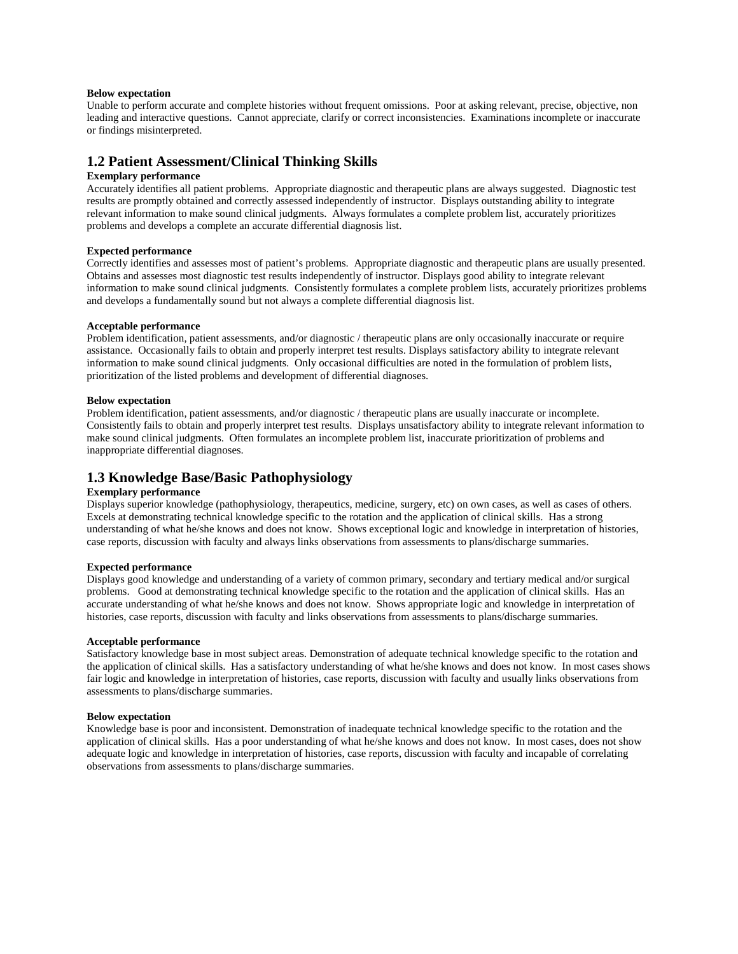## **Below expectation**

Unable to perform accurate and complete histories without frequent omissions. Poor at asking relevant, precise, objective, non leading and interactive questions. Cannot appreciate, clarify or correct inconsistencies. Examinations incomplete or inaccurate or findings misinterpreted.

# **1.2 Patient Assessment/Clinical Thinking Skills**

### **Exemplary performance**

Accurately identifies all patient problems. Appropriate diagnostic and therapeutic plans are always suggested. Diagnostic test results are promptly obtained and correctly assessed independently of instructor. Displays outstanding ability to integrate relevant information to make sound clinical judgments. Always formulates a complete problem list, accurately prioritizes problems and develops a complete an accurate differential diagnosis list.

### **Expected performance**

Correctly identifies and assesses most of patient's problems. Appropriate diagnostic and therapeutic plans are usually presented. Obtains and assesses most diagnostic test results independently of instructor. Displays good ability to integrate relevant information to make sound clinical judgments. Consistently formulates a complete problem lists, accurately prioritizes problems and develops a fundamentally sound but not always a complete differential diagnosis list.

### **Acceptable performance**

Problem identification, patient assessments, and/or diagnostic / therapeutic plans are only occasionally inaccurate or require assistance. Occasionally fails to obtain and properly interpret test results. Displays satisfactory ability to integrate relevant information to make sound clinical judgments. Only occasional difficulties are noted in the formulation of problem lists, prioritization of the listed problems and development of differential diagnoses.

### **Below expectation**

Problem identification, patient assessments, and/or diagnostic / therapeutic plans are usually inaccurate or incomplete. Consistently fails to obtain and properly interpret test results. Displays unsatisfactory ability to integrate relevant information to make sound clinical judgments. Often formulates an incomplete problem list, inaccurate prioritization of problems and inappropriate differential diagnoses.

# **1.3 Knowledge Base/Basic Pathophysiology**

# **Exemplary performance**

Displays superior knowledge (pathophysiology, therapeutics, medicine, surgery, etc) on own cases, as well as cases of others. Excels at demonstrating technical knowledge specific to the rotation and the application of clinical skills. Has a strong understanding of what he/she knows and does not know. Shows exceptional logic and knowledge in interpretation of histories, case reports, discussion with faculty and always links observations from assessments to plans/discharge summaries.

#### **Expected performance**

Displays good knowledge and understanding of a variety of common primary, secondary and tertiary medical and/or surgical problems. Good at demonstrating technical knowledge specific to the rotation and the application of clinical skills. Has an accurate understanding of what he/she knows and does not know. Shows appropriate logic and knowledge in interpretation of histories, case reports, discussion with faculty and links observations from assessments to plans/discharge summaries.

### **Acceptable performance**

Satisfactory knowledge base in most subject areas. Demonstration of adequate technical knowledge specific to the rotation and the application of clinical skills. Has a satisfactory understanding of what he/she knows and does not know. In most cases shows fair logic and knowledge in interpretation of histories, case reports, discussion with faculty and usually links observations from assessments to plans/discharge summaries.

### **Below expectation**

Knowledge base is poor and inconsistent. Demonstration of inadequate technical knowledge specific to the rotation and the application of clinical skills. Has a poor understanding of what he/she knows and does not know. In most cases, does not show adequate logic and knowledge in interpretation of histories, case reports, discussion with faculty and incapable of correlating observations from assessments to plans/discharge summaries.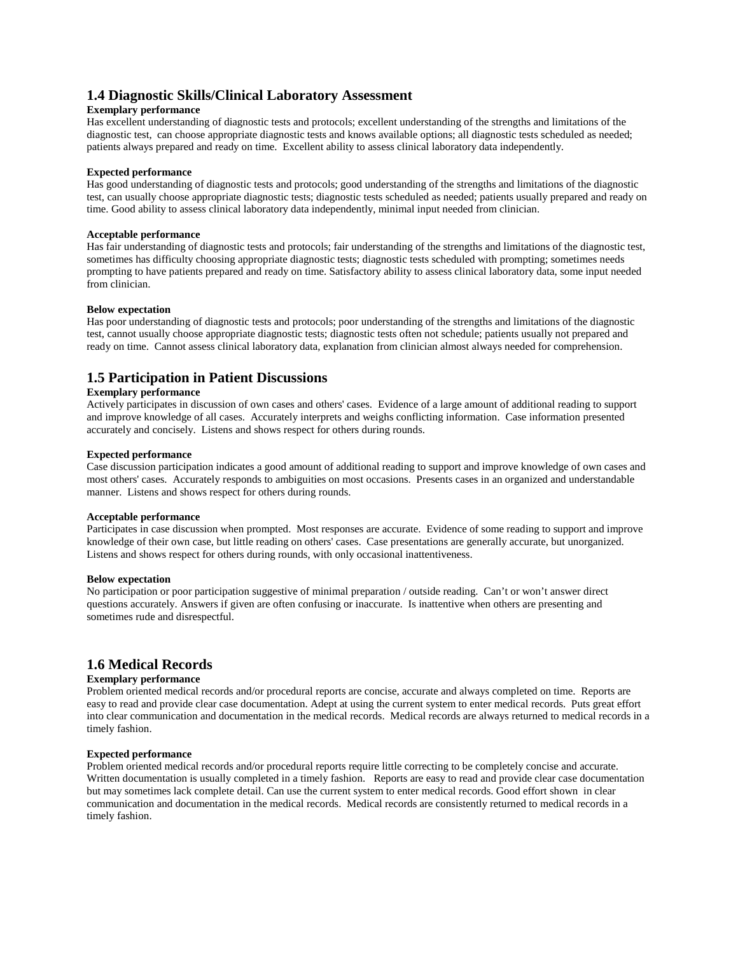# **1.4 Diagnostic Skills/Clinical Laboratory Assessment**

# **Exemplary performance**

Has excellent understanding of diagnostic tests and protocols; excellent understanding of the strengths and limitations of the diagnostic test, can choose appropriate diagnostic tests and knows available options; all diagnostic tests scheduled as needed; patients always prepared and ready on time. Excellent ability to assess clinical laboratory data independently.

# **Expected performance**

Has good understanding of diagnostic tests and protocols; good understanding of the strengths and limitations of the diagnostic test, can usually choose appropriate diagnostic tests; diagnostic tests scheduled as needed; patients usually prepared and ready on time. Good ability to assess clinical laboratory data independently, minimal input needed from clinician.

# **Acceptable performance**

Has fair understanding of diagnostic tests and protocols; fair understanding of the strengths and limitations of the diagnostic test, sometimes has difficulty choosing appropriate diagnostic tests; diagnostic tests scheduled with prompting; sometimes needs prompting to have patients prepared and ready on time. Satisfactory ability to assess clinical laboratory data, some input needed from clinician.

### **Below expectation**

Has poor understanding of diagnostic tests and protocols; poor understanding of the strengths and limitations of the diagnostic test, cannot usually choose appropriate diagnostic tests; diagnostic tests often not schedule; patients usually not prepared and ready on time. Cannot assess clinical laboratory data, explanation from clinician almost always needed for comprehension.

# **1.5 Participation in Patient Discussions**

# **Exemplary performance**

Actively participates in discussion of own cases and others' cases. Evidence of a large amount of additional reading to support and improve knowledge of all cases. Accurately interprets and weighs conflicting information. Case information presented accurately and concisely. Listens and shows respect for others during rounds.

### **Expected performance**

Case discussion participation indicates a good amount of additional reading to support and improve knowledge of own cases and most others' cases. Accurately responds to ambiguities on most occasions. Presents cases in an organized and understandable manner. Listens and shows respect for others during rounds.

## **Acceptable performance**

Participates in case discussion when prompted. Most responses are accurate. Evidence of some reading to support and improve knowledge of their own case, but little reading on others' cases. Case presentations are generally accurate, but unorganized. Listens and shows respect for others during rounds, with only occasional inattentiveness.

### **Below expectation**

No participation or poor participation suggestive of minimal preparation / outside reading. Can't or won't answer direct questions accurately. Answers if given are often confusing or inaccurate. Is inattentive when others are presenting and sometimes rude and disrespectful.

# **1.6 Medical Records**

# **Exemplary performance**

Problem oriented medical records and/or procedural reports are concise, accurate and always completed on time. Reports are easy to read and provide clear case documentation. Adept at using the current system to enter medical records. Puts great effort into clear communication and documentation in the medical records. Medical records are always returned to medical records in a timely fashion.

## **Expected performance**

Problem oriented medical records and/or procedural reports require little correcting to be completely concise and accurate. Written documentation is usually completed in a timely fashion. Reports are easy to read and provide clear case documentation but may sometimes lack complete detail. Can use the current system to enter medical records. Good effort shown in clear communication and documentation in the medical records. Medical records are consistently returned to medical records in a timely fashion.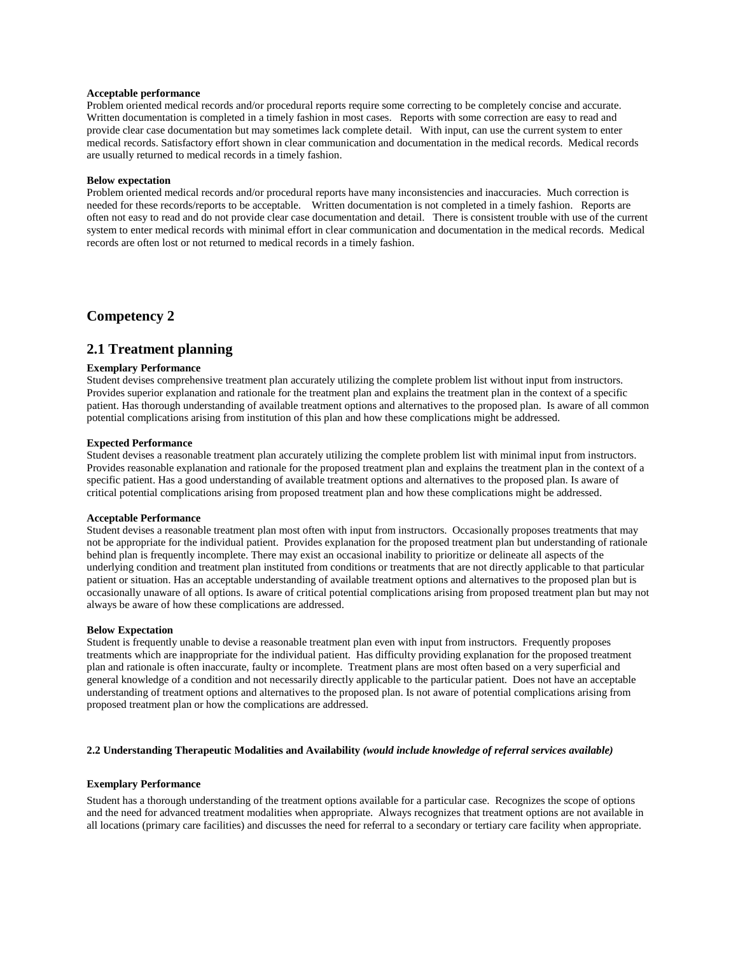# **Acceptable performance**

Problem oriented medical records and/or procedural reports require some correcting to be completely concise and accurate. Written documentation is completed in a timely fashion in most cases. Reports with some correction are easy to read and provide clear case documentation but may sometimes lack complete detail. With input, can use the current system to enter medical records. Satisfactory effort shown in clear communication and documentation in the medical records. Medical records are usually returned to medical records in a timely fashion.

### **Below expectation**

Problem oriented medical records and/or procedural reports have many inconsistencies and inaccuracies. Much correction is needed for these records/reports to be acceptable. Written documentation is not completed in a timely fashion. Reports are often not easy to read and do not provide clear case documentation and detail. There is consistent trouble with use of the current system to enter medical records with minimal effort in clear communication and documentation in the medical records. Medical records are often lost or not returned to medical records in a timely fashion.

# **Competency 2**

# **2.1 Treatment planning**

### **Exemplary Performance**

Student devises comprehensive treatment plan accurately utilizing the complete problem list without input from instructors. Provides superior explanation and rationale for the treatment plan and explains the treatment plan in the context of a specific patient. Has thorough understanding of available treatment options and alternatives to the proposed plan. Is aware of all common potential complications arising from institution of this plan and how these complications might be addressed.

### **Expected Performance**

Student devises a reasonable treatment plan accurately utilizing the complete problem list with minimal input from instructors. Provides reasonable explanation and rationale for the proposed treatment plan and explains the treatment plan in the context of a specific patient. Has a good understanding of available treatment options and alternatives to the proposed plan. Is aware of critical potential complications arising from proposed treatment plan and how these complications might be addressed.

#### **Acceptable Performance**

Student devises a reasonable treatment plan most often with input from instructors. Occasionally proposes treatments that may not be appropriate for the individual patient. Provides explanation for the proposed treatment plan but understanding of rationale behind plan is frequently incomplete. There may exist an occasional inability to prioritize or delineate all aspects of the underlying condition and treatment plan instituted from conditions or treatments that are not directly applicable to that particular patient or situation. Has an acceptable understanding of available treatment options and alternatives to the proposed plan but is occasionally unaware of all options. Is aware of critical potential complications arising from proposed treatment plan but may not always be aware of how these complications are addressed.

### **Below Expectation**

Student is frequently unable to devise a reasonable treatment plan even with input from instructors. Frequently proposes treatments which are inappropriate for the individual patient. Has difficulty providing explanation for the proposed treatment plan and rationale is often inaccurate, faulty or incomplete. Treatment plans are most often based on a very superficial and general knowledge of a condition and not necessarily directly applicable to the particular patient. Does not have an acceptable understanding of treatment options and alternatives to the proposed plan. Is not aware of potential complications arising from proposed treatment plan or how the complications are addressed.

### **2.2 Understanding Therapeutic Modalities and Availability** *(would include knowledge of referral services available)*

### **Exemplary Performance**

Student has a thorough understanding of the treatment options available for a particular case. Recognizes the scope of options and the need for advanced treatment modalities when appropriate. Always recognizes that treatment options are not available in all locations (primary care facilities) and discusses the need for referral to a secondary or tertiary care facility when appropriate.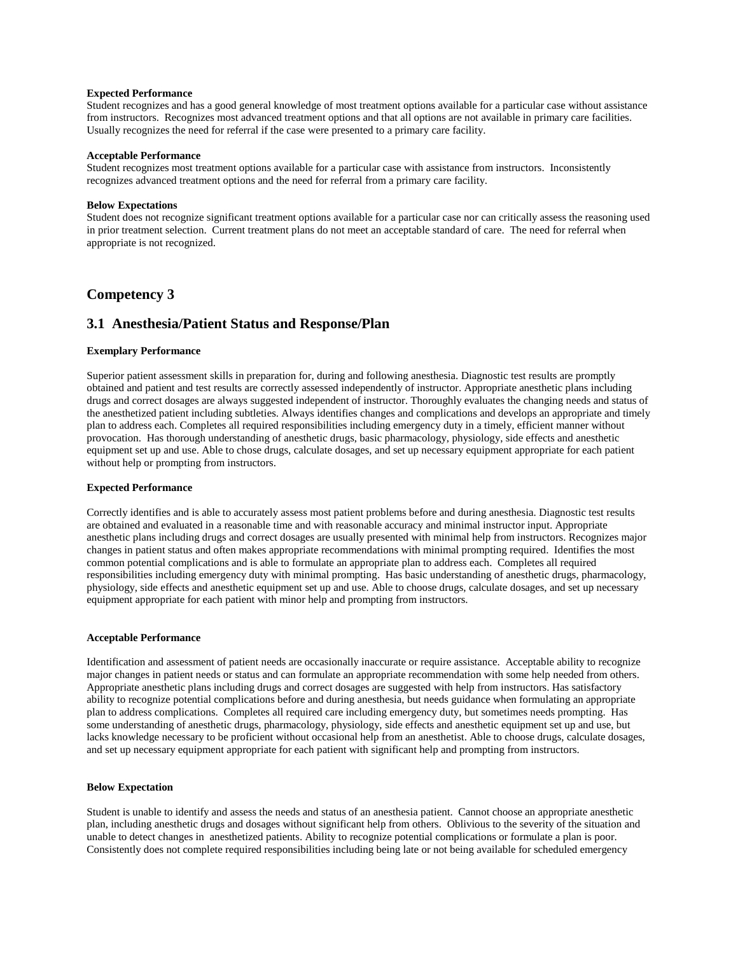### **Expected Performance**

Student recognizes and has a good general knowledge of most treatment options available for a particular case without assistance from instructors. Recognizes most advanced treatment options and that all options are not available in primary care facilities. Usually recognizes the need for referral if the case were presented to a primary care facility.

### **Acceptable Performance**

Student recognizes most treatment options available for a particular case with assistance from instructors. Inconsistently recognizes advanced treatment options and the need for referral from a primary care facility.

### **Below Expectations**

Student does not recognize significant treatment options available for a particular case nor can critically assess the reasoning used in prior treatment selection. Current treatment plans do not meet an acceptable standard of care. The need for referral when appropriate is not recognized.

# **Competency 3**

# **3.1 Anesthesia/Patient Status and Response/Plan**

### **Exemplary Performance**

Superior patient assessment skills in preparation for, during and following anesthesia. Diagnostic test results are promptly obtained and patient and test results are correctly assessed independently of instructor. Appropriate anesthetic plans including drugs and correct dosages are always suggested independent of instructor. Thoroughly evaluates the changing needs and status of the anesthetized patient including subtleties. Always identifies changes and complications and develops an appropriate and timely plan to address each. Completes all required responsibilities including emergency duty in a timely, efficient manner without provocation. Has thorough understanding of anesthetic drugs, basic pharmacology, physiology, side effects and anesthetic equipment set up and use. Able to chose drugs, calculate dosages, and set up necessary equipment appropriate for each patient without help or prompting from instructors.

### **Expected Performance**

Correctly identifies and is able to accurately assess most patient problems before and during anesthesia. Diagnostic test results are obtained and evaluated in a reasonable time and with reasonable accuracy and minimal instructor input. Appropriate anesthetic plans including drugs and correct dosages are usually presented with minimal help from instructors. Recognizes major changes in patient status and often makes appropriate recommendations with minimal prompting required. Identifies the most common potential complications and is able to formulate an appropriate plan to address each. Completes all required responsibilities including emergency duty with minimal prompting. Has basic understanding of anesthetic drugs, pharmacology, physiology, side effects and anesthetic equipment set up and use. Able to choose drugs, calculate dosages, and set up necessary equipment appropriate for each patient with minor help and prompting from instructors.

#### **Acceptable Performance**

Identification and assessment of patient needs are occasionally inaccurate or require assistance. Acceptable ability to recognize major changes in patient needs or status and can formulate an appropriate recommendation with some help needed from others. Appropriate anesthetic plans including drugs and correct dosages are suggested with help from instructors. Has satisfactory ability to recognize potential complications before and during anesthesia, but needs guidance when formulating an appropriate plan to address complications. Completes all required care including emergency duty, but sometimes needs prompting. Has some understanding of anesthetic drugs, pharmacology, physiology, side effects and anesthetic equipment set up and use, but lacks knowledge necessary to be proficient without occasional help from an anesthetist. Able to choose drugs, calculate dosages, and set up necessary equipment appropriate for each patient with significant help and prompting from instructors.

### **Below Expectation**

Student is unable to identify and assess the needs and status of an anesthesia patient. Cannot choose an appropriate anesthetic plan, including anesthetic drugs and dosages without significant help from others. Oblivious to the severity of the situation and unable to detect changes in anesthetized patients. Ability to recognize potential complications or formulate a plan is poor. Consistently does not complete required responsibilities including being late or not being available for scheduled emergency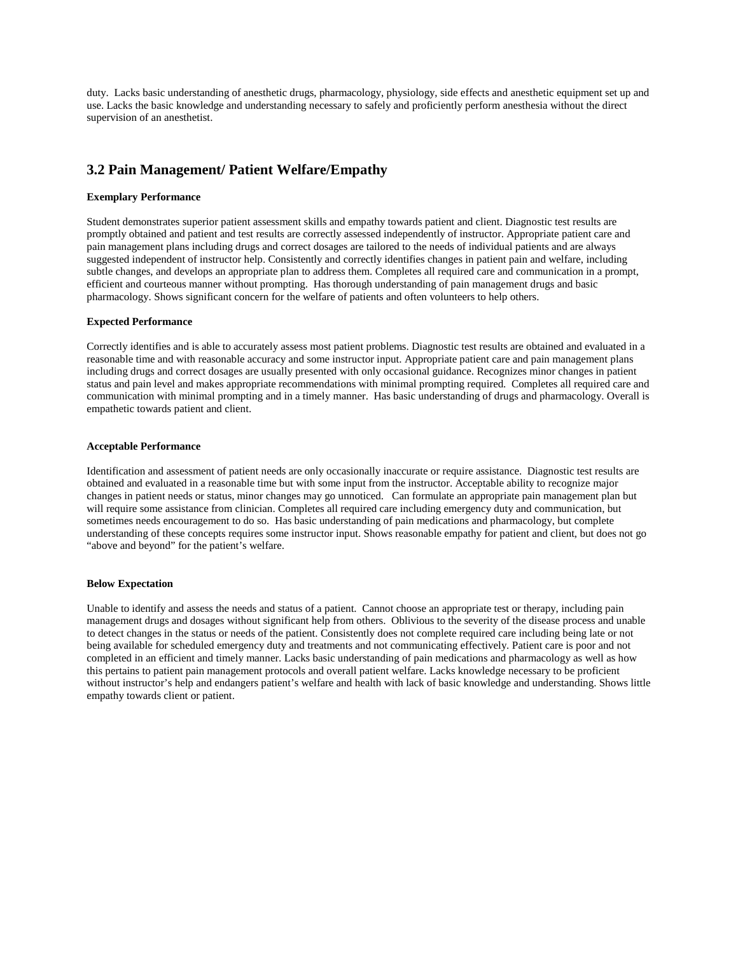duty. Lacks basic understanding of anesthetic drugs, pharmacology, physiology, side effects and anesthetic equipment set up and use. Lacks the basic knowledge and understanding necessary to safely and proficiently perform anesthesia without the direct supervision of an anesthetist.

# **3.2 Pain Management/ Patient Welfare/Empathy**

# **Exemplary Performance**

Student demonstrates superior patient assessment skills and empathy towards patient and client. Diagnostic test results are promptly obtained and patient and test results are correctly assessed independently of instructor. Appropriate patient care and pain management plans including drugs and correct dosages are tailored to the needs of individual patients and are always suggested independent of instructor help. Consistently and correctly identifies changes in patient pain and welfare, including subtle changes, and develops an appropriate plan to address them. Completes all required care and communication in a prompt, efficient and courteous manner without prompting. Has thorough understanding of pain management drugs and basic pharmacology. Shows significant concern for the welfare of patients and often volunteers to help others.

### **Expected Performance**

Correctly identifies and is able to accurately assess most patient problems. Diagnostic test results are obtained and evaluated in a reasonable time and with reasonable accuracy and some instructor input. Appropriate patient care and pain management plans including drugs and correct dosages are usually presented with only occasional guidance. Recognizes minor changes in patient status and pain level and makes appropriate recommendations with minimal prompting required. Completes all required care and communication with minimal prompting and in a timely manner. Has basic understanding of drugs and pharmacology. Overall is empathetic towards patient and client.

### **Acceptable Performance**

Identification and assessment of patient needs are only occasionally inaccurate or require assistance. Diagnostic test results are obtained and evaluated in a reasonable time but with some input from the instructor. Acceptable ability to recognize major changes in patient needs or status, minor changes may go unnoticed. Can formulate an appropriate pain management plan but will require some assistance from clinician. Completes all required care including emergency duty and communication, but sometimes needs encouragement to do so. Has basic understanding of pain medications and pharmacology, but complete understanding of these concepts requires some instructor input. Shows reasonable empathy for patient and client, but does not go "above and beyond" for the patient's welfare.

### **Below Expectation**

Unable to identify and assess the needs and status of a patient. Cannot choose an appropriate test or therapy, including pain management drugs and dosages without significant help from others. Oblivious to the severity of the disease process and unable to detect changes in the status or needs of the patient. Consistently does not complete required care including being late or not being available for scheduled emergency duty and treatments and not communicating effectively. Patient care is poor and not completed in an efficient and timely manner. Lacks basic understanding of pain medications and pharmacology as well as how this pertains to patient pain management protocols and overall patient welfare. Lacks knowledge necessary to be proficient without instructor's help and endangers patient's welfare and health with lack of basic knowledge and understanding. Shows little empathy towards client or patient.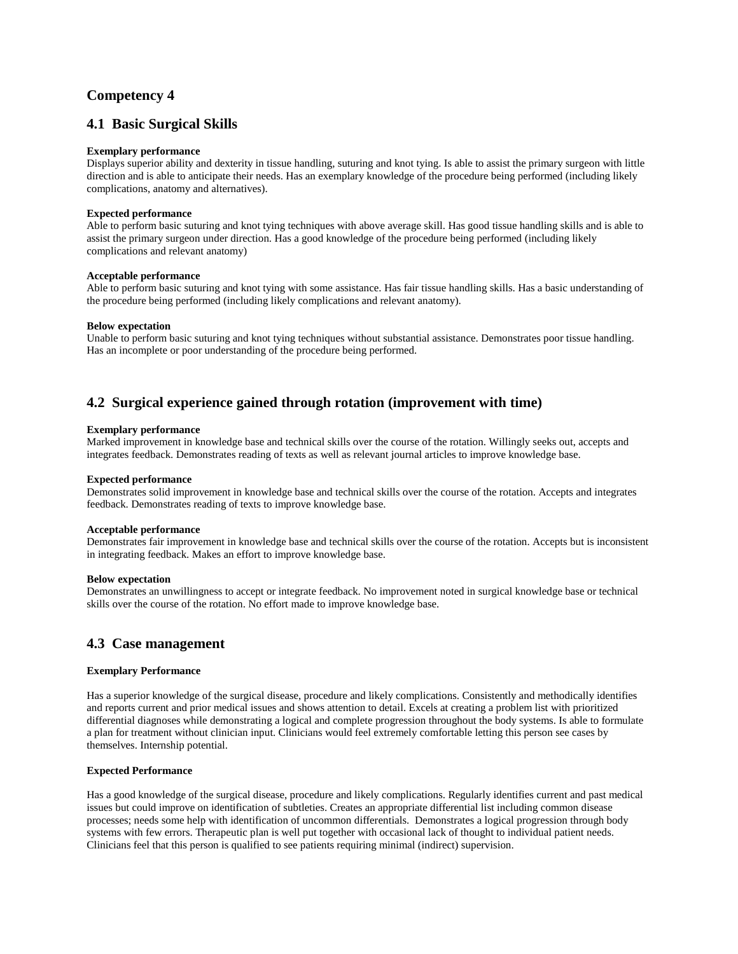# **Competency 4**

# **4.1 Basic Surgical Skills**

# **Exemplary performance**

Displays superior ability and dexterity in tissue handling, suturing and knot tying. Is able to assist the primary surgeon with little direction and is able to anticipate their needs. Has an exemplary knowledge of the procedure being performed (including likely complications, anatomy and alternatives).

# **Expected performance**

Able to perform basic suturing and knot tying techniques with above average skill. Has good tissue handling skills and is able to assist the primary surgeon under direction. Has a good knowledge of the procedure being performed (including likely complications and relevant anatomy)

### **Acceptable performance**

Able to perform basic suturing and knot tying with some assistance. Has fair tissue handling skills. Has a basic understanding of the procedure being performed (including likely complications and relevant anatomy).

# **Below expectation**

Unable to perform basic suturing and knot tying techniques without substantial assistance. Demonstrates poor tissue handling. Has an incomplete or poor understanding of the procedure being performed.

# **4.2 Surgical experience gained through rotation (improvement with time)**

# **Exemplary performance**

Marked improvement in knowledge base and technical skills over the course of the rotation. Willingly seeks out, accepts and integrates feedback. Demonstrates reading of texts as well as relevant journal articles to improve knowledge base.

### **Expected performance**

Demonstrates solid improvement in knowledge base and technical skills over the course of the rotation. Accepts and integrates feedback. Demonstrates reading of texts to improve knowledge base.

#### **Acceptable performance**

Demonstrates fair improvement in knowledge base and technical skills over the course of the rotation. Accepts but is inconsistent in integrating feedback. Makes an effort to improve knowledge base.

### **Below expectation**

Demonstrates an unwillingness to accept or integrate feedback. No improvement noted in surgical knowledge base or technical skills over the course of the rotation. No effort made to improve knowledge base.

# **4.3 Case management**

### **Exemplary Performance**

Has a superior knowledge of the surgical disease, procedure and likely complications. Consistently and methodically identifies and reports current and prior medical issues and shows attention to detail. Excels at creating a problem list with prioritized differential diagnoses while demonstrating a logical and complete progression throughout the body systems. Is able to formulate a plan for treatment without clinician input. Clinicians would feel extremely comfortable letting this person see cases by themselves. Internship potential.

### **Expected Performance**

Has a good knowledge of the surgical disease, procedure and likely complications. Regularly identifies current and past medical issues but could improve on identification of subtleties. Creates an appropriate differential list including common disease processes; needs some help with identification of uncommon differentials. Demonstrates a logical progression through body systems with few errors. Therapeutic plan is well put together with occasional lack of thought to individual patient needs. Clinicians feel that this person is qualified to see patients requiring minimal (indirect) supervision.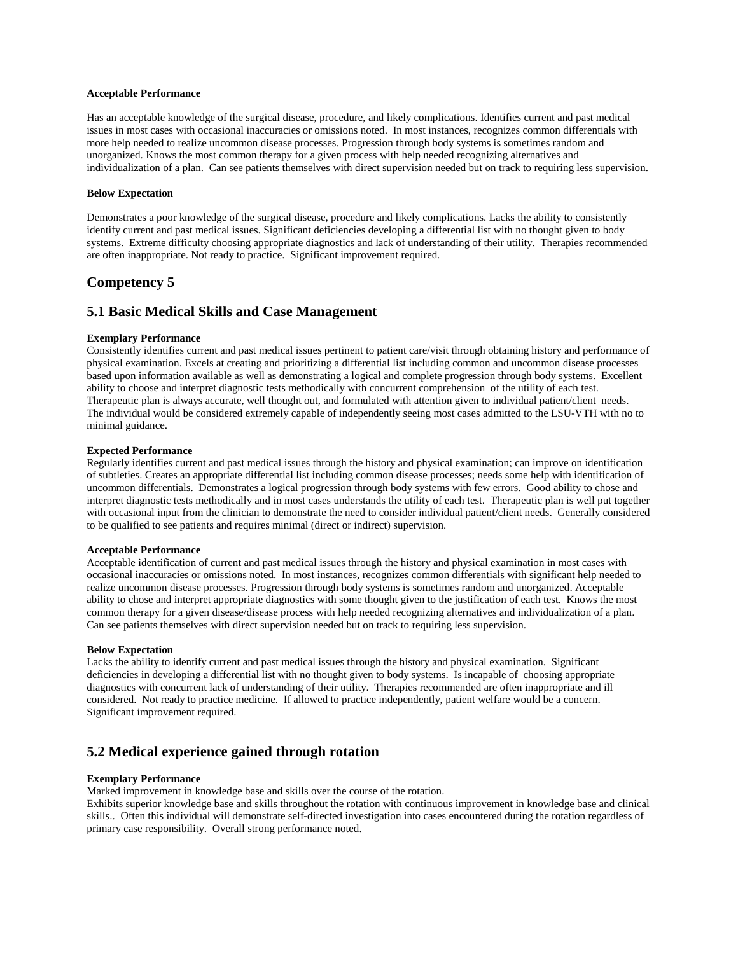### **Acceptable Performance**

Has an acceptable knowledge of the surgical disease, procedure, and likely complications. Identifies current and past medical issues in most cases with occasional inaccuracies or omissions noted. In most instances, recognizes common differentials with more help needed to realize uncommon disease processes. Progression through body systems is sometimes random and unorganized. Knows the most common therapy for a given process with help needed recognizing alternatives and individualization of a plan. Can see patients themselves with direct supervision needed but on track to requiring less supervision.

### **Below Expectation**

Demonstrates a poor knowledge of the surgical disease, procedure and likely complications. Lacks the ability to consistently identify current and past medical issues. Significant deficiencies developing a differential list with no thought given to body systems. Extreme difficulty choosing appropriate diagnostics and lack of understanding of their utility. Therapies recommended are often inappropriate. Not ready to practice. Significant improvement required.

# **Competency 5**

# **5.1 Basic Medical Skills and Case Management**

# **Exemplary Performance**

Consistently identifies current and past medical issues pertinent to patient care/visit through obtaining history and performance of physical examination. Excels at creating and prioritizing a differential list including common and uncommon disease processes based upon information available as well as demonstrating a logical and complete progression through body systems. Excellent ability to choose and interpret diagnostic tests methodically with concurrent comprehension of the utility of each test. Therapeutic plan is always accurate, well thought out, and formulated with attention given to individual patient/client needs. The individual would be considered extremely capable of independently seeing most cases admitted to the LSU-VTH with no to minimal guidance.

### **Expected Performance**

Regularly identifies current and past medical issues through the history and physical examination; can improve on identification of subtleties. Creates an appropriate differential list including common disease processes; needs some help with identification of uncommon differentials. Demonstrates a logical progression through body systems with few errors. Good ability to chose and interpret diagnostic tests methodically and in most cases understands the utility of each test. Therapeutic plan is well put together with occasional input from the clinician to demonstrate the need to consider individual patient/client needs. Generally considered to be qualified to see patients and requires minimal (direct or indirect) supervision.

#### **Acceptable Performance**

Acceptable identification of current and past medical issues through the history and physical examination in most cases with occasional inaccuracies or omissions noted. In most instances, recognizes common differentials with significant help needed to realize uncommon disease processes. Progression through body systems is sometimes random and unorganized. Acceptable ability to chose and interpret appropriate diagnostics with some thought given to the justification of each test. Knows the most common therapy for a given disease/disease process with help needed recognizing alternatives and individualization of a plan. Can see patients themselves with direct supervision needed but on track to requiring less supervision.

#### **Below Expectation**

Lacks the ability to identify current and past medical issues through the history and physical examination. Significant deficiencies in developing a differential list with no thought given to body systems. Is incapable of choosing appropriate diagnostics with concurrent lack of understanding of their utility. Therapies recommended are often inappropriate and ill considered. Not ready to practice medicine. If allowed to practice independently, patient welfare would be a concern. Significant improvement required.

# **5.2 Medical experience gained through rotation**

### **Exemplary Performance**

Marked improvement in knowledge base and skills over the course of the rotation.

Exhibits superior knowledge base and skills throughout the rotation with continuous improvement in knowledge base and clinical skills.. Often this individual will demonstrate self-directed investigation into cases encountered during the rotation regardless of primary case responsibility. Overall strong performance noted.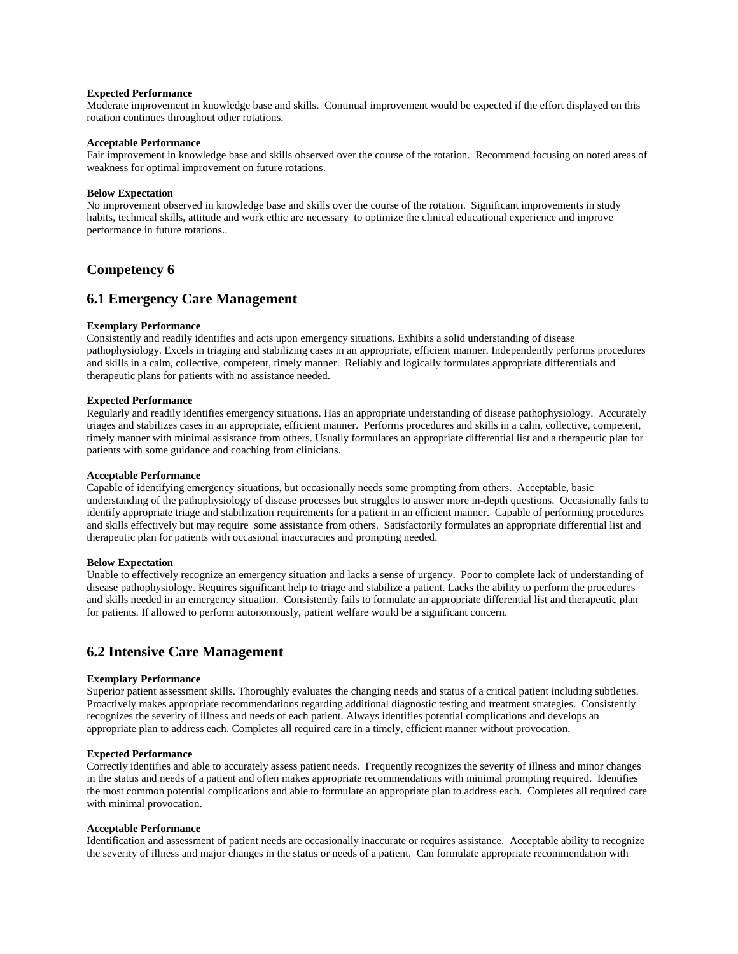## **Expected Performance**

Moderate improvement in knowledge base and skills. Continual improvement would be expected if the effort displayed on this rotation continues throughout other rotations.

#### **Acceptable Performance**

Fair improvement in knowledge base and skills observed over the course of the rotation. Recommend focusing on noted areas of weakness for optimal improvement on future rotations.

#### **Below Expectation**

No improvement observed in knowledge base and skills over the course of the rotation. Significant improvements in study habits, technical skills, attitude and work ethic are necessary to optimize the clinical educational experience and improve performance in future rotations..

# **Competency 6**

# **6.1 Emergency Care Management**

### **Exemplary Performance**

Consistently and readily identifies and acts upon emergency situations. Exhibits a solid understanding of disease pathophysiology. Excels in triaging and stabilizing cases in an appropriate, efficient manner. Independently performs procedures and skills in a calm, collective, competent, timely manner. Reliably and logically formulates appropriate differentials and therapeutic plans for patients with no assistance needed.

### **Expected Performance**

Regularly and readily identifies emergency situations. Has an appropriate understanding of disease pathophysiology. Accurately triages and stabilizes cases in an appropriate, efficient manner. Performs procedures and skills in a calm, collective, competent, timely manner with minimal assistance from others. Usually formulates an appropriate differential list and a therapeutic plan for patients with some guidance and coaching from clinicians.

### **Acceptable Performance**

Capable of identifying emergency situations, but occasionally needs some prompting from others. Acceptable, basic understanding of the pathophysiology of disease processes but struggles to answer more in-depth questions. Occasionally fails to identify appropriate triage and stabilization requirements for a patient in an efficient manner. Capable of performing procedures and skills effectively but may require some assistance from others. Satisfactorily formulates an appropriate differential list and therapeutic plan for patients with occasional inaccuracies and prompting needed.

### **Below Expectation**

Unable to effectively recognize an emergency situation and lacks a sense of urgency. Poor to complete lack of understanding of disease pathophysiology. Requires significant help to triage and stabilize a patient. Lacks the ability to perform the procedures and skills needed in an emergency situation. Consistently fails to formulate an appropriate differential list and therapeutic plan for patients. If allowed to perform autonomously, patient welfare would be a significant concern.

# **6.2 Intensive Care Management**

#### **Exemplary Performance**

Superior patient assessment skills. Thoroughly evaluates the changing needs and status of a critical patient including subtleties. Proactively makes appropriate recommendations regarding additional diagnostic testing and treatment strategies. Consistently recognizes the severity of illness and needs of each patient. Always identifies potential complications and develops an appropriate plan to address each. Completes all required care in a timely, efficient manner without provocation.

### **Expected Performance**

Correctly identifies and able to accurately assess patient needs. Frequently recognizes the severity of illness and minor changes in the status and needs of a patient and often makes appropriate recommendations with minimal prompting required. Identifies the most common potential complications and able to formulate an appropriate plan to address each. Completes all required care with minimal provocation.

# **Acceptable Performance**

Identification and assessment of patient needs are occasionally inaccurate or requires assistance. Acceptable ability to recognize the severity of illness and major changes in the status or needs of a patient. Can formulate appropriate recommendation with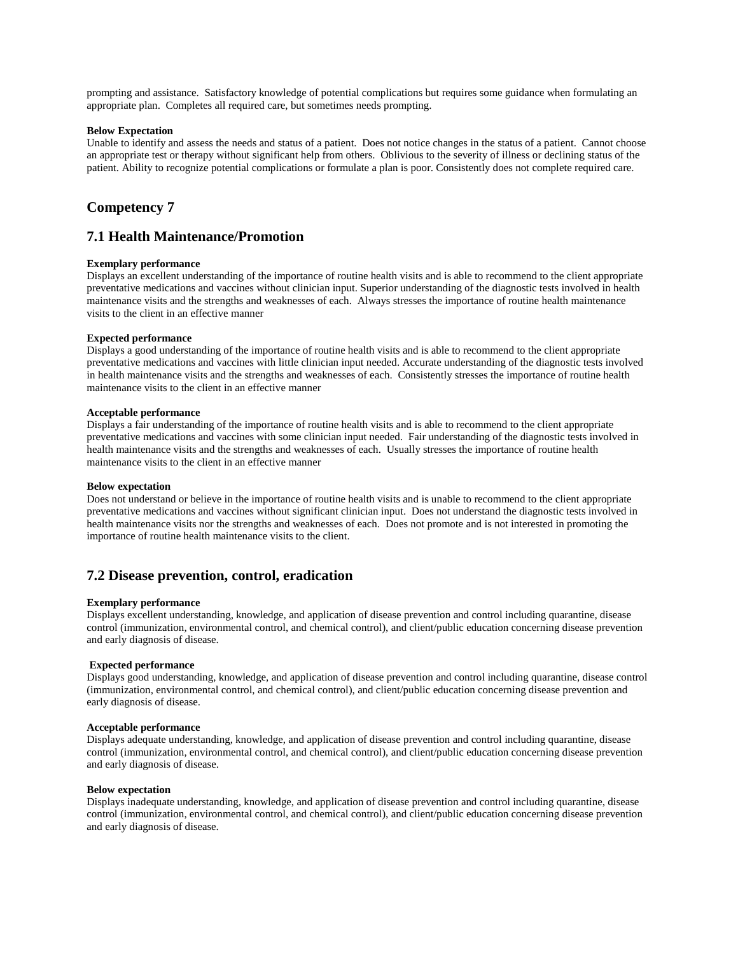prompting and assistance. Satisfactory knowledge of potential complications but requires some guidance when formulating an appropriate plan. Completes all required care, but sometimes needs prompting.

### **Below Expectation**

Unable to identify and assess the needs and status of a patient. Does not notice changes in the status of a patient. Cannot choose an appropriate test or therapy without significant help from others. Oblivious to the severity of illness or declining status of the patient. Ability to recognize potential complications or formulate a plan is poor. Consistently does not complete required care.

# **Competency 7**

# **7.1 Health Maintenance/Promotion**

## **Exemplary performance**

Displays an excellent understanding of the importance of routine health visits and is able to recommend to the client appropriate preventative medications and vaccines without clinician input. Superior understanding of the diagnostic tests involved in health maintenance visits and the strengths and weaknesses of each. Always stresses the importance of routine health maintenance visits to the client in an effective manner

### **Expected performance**

Displays a good understanding of the importance of routine health visits and is able to recommend to the client appropriate preventative medications and vaccines with little clinician input needed. Accurate understanding of the diagnostic tests involved in health maintenance visits and the strengths and weaknesses of each. Consistently stresses the importance of routine health maintenance visits to the client in an effective manner

#### **Acceptable performance**

Displays a fair understanding of the importance of routine health visits and is able to recommend to the client appropriate preventative medications and vaccines with some clinician input needed. Fair understanding of the diagnostic tests involved in health maintenance visits and the strengths and weaknesses of each. Usually stresses the importance of routine health maintenance visits to the client in an effective manner

#### **Below expectation**

Does not understand or believe in the importance of routine health visits and is unable to recommend to the client appropriate preventative medications and vaccines without significant clinician input. Does not understand the diagnostic tests involved in health maintenance visits nor the strengths and weaknesses of each. Does not promote and is not interested in promoting the importance of routine health maintenance visits to the client.

# **7.2 Disease prevention, control, eradication**

#### **Exemplary performance**

Displays excellent understanding, knowledge, and application of disease prevention and control including quarantine, disease control (immunization, environmental control, and chemical control), and client/public education concerning disease prevention and early diagnosis of disease.

#### **Expected performance**

Displays good understanding, knowledge, and application of disease prevention and control including quarantine, disease control (immunization, environmental control, and chemical control), and client/public education concerning disease prevention and early diagnosis of disease.

#### **Acceptable performance**

Displays adequate understanding, knowledge, and application of disease prevention and control including quarantine, disease control (immunization, environmental control, and chemical control), and client/public education concerning disease prevention and early diagnosis of disease.

#### **Below expectation**

Displays inadequate understanding, knowledge, and application of disease prevention and control including quarantine, disease control (immunization, environmental control, and chemical control), and client/public education concerning disease prevention and early diagnosis of disease.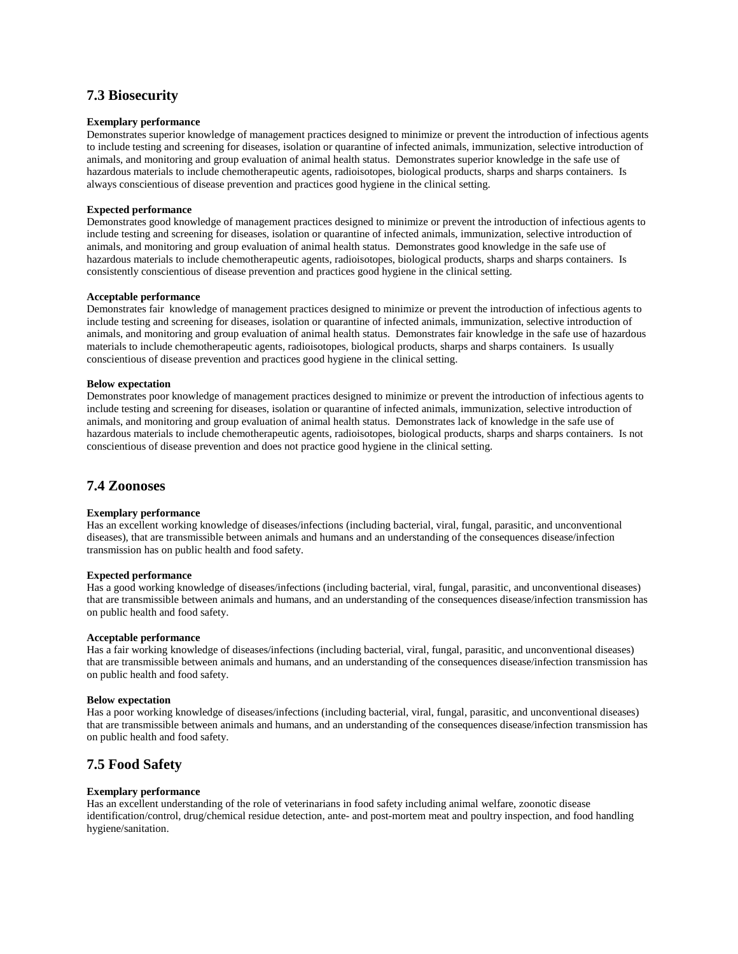# **7.3 Biosecurity**

### **Exemplary performance**

Demonstrates superior knowledge of management practices designed to minimize or prevent the introduction of infectious agents to include testing and screening for diseases, isolation or quarantine of infected animals, immunization, selective introduction of animals, and monitoring and group evaluation of animal health status. Demonstrates superior knowledge in the safe use of hazardous materials to include chemotherapeutic agents, radioisotopes, biological products, sharps and sharps containers. Is always conscientious of disease prevention and practices good hygiene in the clinical setting.

### **Expected performance**

Demonstrates good knowledge of management practices designed to minimize or prevent the introduction of infectious agents to include testing and screening for diseases, isolation or quarantine of infected animals, immunization, selective introduction of animals, and monitoring and group evaluation of animal health status. Demonstrates good knowledge in the safe use of hazardous materials to include chemotherapeutic agents, radioisotopes, biological products, sharps and sharps containers. Is consistently conscientious of disease prevention and practices good hygiene in the clinical setting.

### **Acceptable performance**

Demonstrates fair knowledge of management practices designed to minimize or prevent the introduction of infectious agents to include testing and screening for diseases, isolation or quarantine of infected animals, immunization, selective introduction of animals, and monitoring and group evaluation of animal health status. Demonstrates fair knowledge in the safe use of hazardous materials to include chemotherapeutic agents, radioisotopes, biological products, sharps and sharps containers. Is usually conscientious of disease prevention and practices good hygiene in the clinical setting.

#### **Below expectation**

Demonstrates poor knowledge of management practices designed to minimize or prevent the introduction of infectious agents to include testing and screening for diseases, isolation or quarantine of infected animals, immunization, selective introduction of animals, and monitoring and group evaluation of animal health status. Demonstrates lack of knowledge in the safe use of hazardous materials to include chemotherapeutic agents, radioisotopes, biological products, sharps and sharps containers. Is not conscientious of disease prevention and does not practice good hygiene in the clinical setting.

# **7.4 Zoonoses**

# **Exemplary performance**

Has an excellent working knowledge of diseases/infections (including bacterial, viral, fungal, parasitic, and unconventional diseases), that are transmissible between animals and humans and an understanding of the consequences disease/infection transmission has on public health and food safety.

## **Expected performance**

Has a good working knowledge of diseases/infections (including bacterial, viral, fungal, parasitic, and unconventional diseases) that are transmissible between animals and humans, and an understanding of the consequences disease/infection transmission has on public health and food safety.

#### **Acceptable performance**

Has a fair working knowledge of diseases/infections (including bacterial, viral, fungal, parasitic, and unconventional diseases) that are transmissible between animals and humans, and an understanding of the consequences disease/infection transmission has on public health and food safety.

#### **Below expectation**

Has a poor working knowledge of diseases/infections (including bacterial, viral, fungal, parasitic, and unconventional diseases) that are transmissible between animals and humans, and an understanding of the consequences disease/infection transmission has on public health and food safety.

# **7.5 Food Safety**

#### **Exemplary performance**

Has an excellent understanding of the role of veterinarians in food safety including animal welfare, zoonotic disease identification/control, drug/chemical residue detection, ante- and post-mortem meat and poultry inspection, and food handling hygiene/sanitation.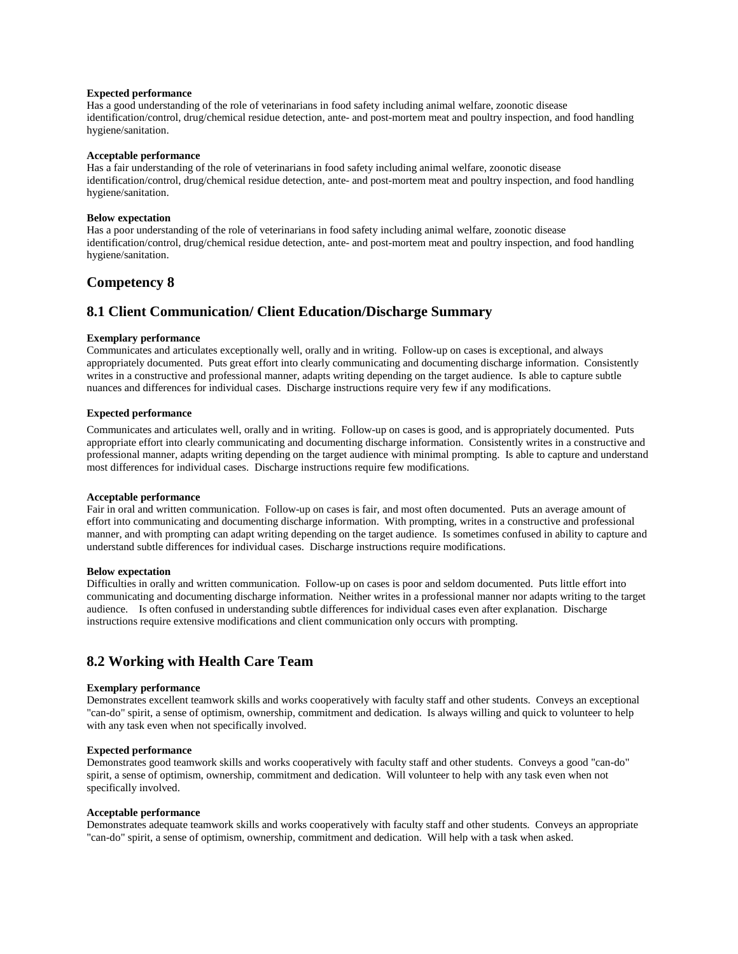### **Expected performance**

Has a good understanding of the role of veterinarians in food safety including animal welfare, zoonotic disease identification/control, drug/chemical residue detection, ante- and post-mortem meat and poultry inspection, and food handling hygiene/sanitation.

### **Acceptable performance**

Has a fair understanding of the role of veterinarians in food safety including animal welfare, zoonotic disease identification/control, drug/chemical residue detection, ante- and post-mortem meat and poultry inspection, and food handling hygiene/sanitation.

### **Below expectation**

Has a poor understanding of the role of veterinarians in food safety including animal welfare, zoonotic disease identification/control, drug/chemical residue detection, ante- and post-mortem meat and poultry inspection, and food handling hygiene/sanitation.

# **Competency 8**

# **8.1 Client Communication/ Client Education/Discharge Summary**

### **Exemplary performance**

Communicates and articulates exceptionally well, orally and in writing. Follow-up on cases is exceptional, and always appropriately documented. Puts great effort into clearly communicating and documenting discharge information. Consistently writes in a constructive and professional manner, adapts writing depending on the target audience. Is able to capture subtle nuances and differences for individual cases. Discharge instructions require very few if any modifications.

### **Expected performance**

Communicates and articulates well, orally and in writing. Follow-up on cases is good, and is appropriately documented. Puts appropriate effort into clearly communicating and documenting discharge information. Consistently writes in a constructive and professional manner, adapts writing depending on the target audience with minimal prompting. Is able to capture and understand most differences for individual cases. Discharge instructions require few modifications.

### **Acceptable performance**

Fair in oral and written communication. Follow-up on cases is fair, and most often documented. Puts an average amount of effort into communicating and documenting discharge information. With prompting, writes in a constructive and professional manner, and with prompting can adapt writing depending on the target audience. Is sometimes confused in ability to capture and understand subtle differences for individual cases. Discharge instructions require modifications.

#### **Below expectation**

Difficulties in orally and written communication. Follow-up on cases is poor and seldom documented. Puts little effort into communicating and documenting discharge information. Neither writes in a professional manner nor adapts writing to the target audience. Is often confused in understanding subtle differences for individual cases even after explanation. Discharge instructions require extensive modifications and client communication only occurs with prompting.

# **8.2 Working with Health Care Team**

### **Exemplary performance**

Demonstrates excellent teamwork skills and works cooperatively with faculty staff and other students. Conveys an exceptional "can-do" spirit, a sense of optimism, ownership, commitment and dedication. Is always willing and quick to volunteer to help with any task even when not specifically involved.

### **Expected performance**

Demonstrates good teamwork skills and works cooperatively with faculty staff and other students. Conveys a good "can-do" spirit, a sense of optimism, ownership, commitment and dedication. Will volunteer to help with any task even when not specifically involved.

### **Acceptable performance**

Demonstrates adequate teamwork skills and works cooperatively with faculty staff and other students. Conveys an appropriate "can-do" spirit, a sense of optimism, ownership, commitment and dedication. Will help with a task when asked.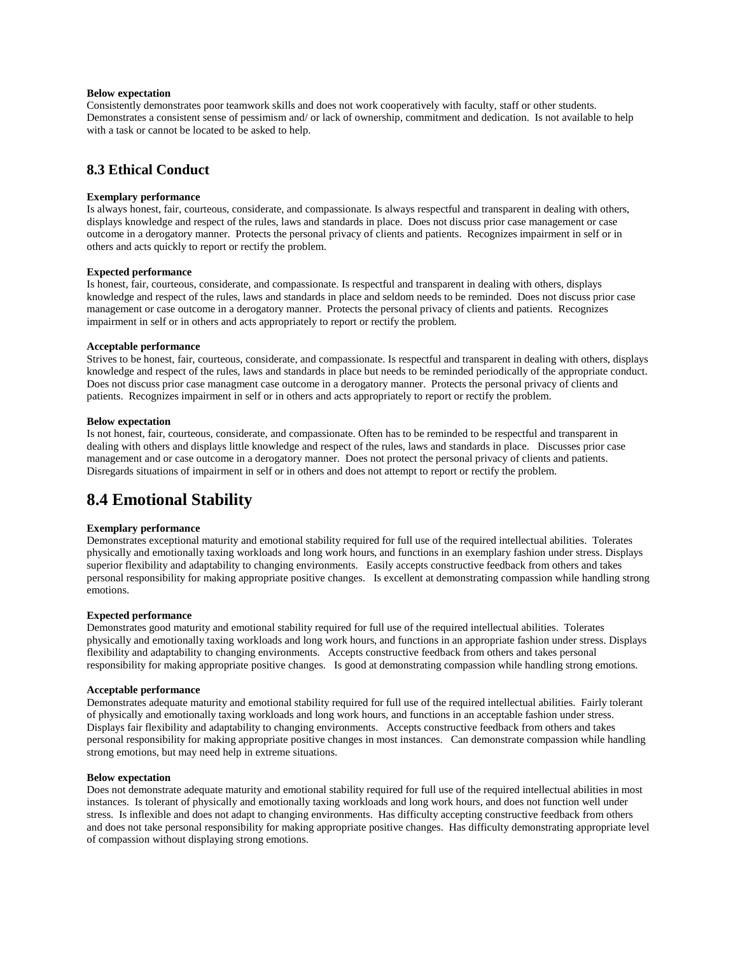### **Below expectation**

Consistently demonstrates poor teamwork skills and does not work cooperatively with faculty, staff or other students. Demonstrates a consistent sense of pessimism and/ or lack of ownership, commitment and dedication. Is not available to help with a task or cannot be located to be asked to help.

# **8.3 Ethical Conduct**

## **Exemplary performance**

Is always honest, fair, courteous, considerate, and compassionate. Is always respectful and transparent in dealing with others, displays knowledge and respect of the rules, laws and standards in place. Does not discuss prior case management or case outcome in a derogatory manner. Protects the personal privacy of clients and patients. Recognizes impairment in self or in others and acts quickly to report or rectify the problem.

# **Expected performance**

Is honest, fair, courteous, considerate, and compassionate. Is respectful and transparent in dealing with others, displays knowledge and respect of the rules, laws and standards in place and seldom needs to be reminded. Does not discuss prior case management or case outcome in a derogatory manner. Protects the personal privacy of clients and patients. Recognizes impairment in self or in others and acts appropriately to report or rectify the problem.

### **Acceptable performance**

Strives to be honest, fair, courteous, considerate, and compassionate. Is respectful and transparent in dealing with others, displays knowledge and respect of the rules, laws and standards in place but needs to be reminded periodically of the appropriate conduct. Does not discuss prior case managment case outcome in a derogatory manner. Protects the personal privacy of clients and patients. Recognizes impairment in self or in others and acts appropriately to report or rectify the problem.

### **Below expectation**

Is not honest, fair, courteous, considerate, and compassionate. Often has to be reminded to be respectful and transparent in dealing with others and displays little knowledge and respect of the rules, laws and standards in place. Discusses prior case management and or case outcome in a derogatory manner. Does not protect the personal privacy of clients and patients. Disregards situations of impairment in self or in others and does not attempt to report or rectify the problem.

# **8.4 Emotional Stability**

### **Exemplary performance**

Demonstrates exceptional maturity and emotional stability required for full use of the required intellectual abilities. Tolerates physically and emotionally taxing workloads and long work hours, and functions in an exemplary fashion under stress. Displays superior flexibility and adaptability to changing environments. Easily accepts constructive feedback from others and takes personal responsibility for making appropriate positive changes. Is excellent at demonstrating compassion while handling strong emotions.

### **Expected performance**

Demonstrates good maturity and emotional stability required for full use of the required intellectual abilities. Tolerates physically and emotionally taxing workloads and long work hours, and functions in an appropriate fashion under stress. Displays flexibility and adaptability to changing environments. Accepts constructive feedback from others and takes personal responsibility for making appropriate positive changes. Is good at demonstrating compassion while handling strong emotions.

### **Acceptable performance**

Demonstrates adequate maturity and emotional stability required for full use of the required intellectual abilities. Fairly tolerant of physically and emotionally taxing workloads and long work hours, and functions in an acceptable fashion under stress. Displays fair flexibility and adaptability to changing environments. Accepts constructive feedback from others and takes personal responsibility for making appropriate positive changes in most instances. Can demonstrate compassion while handling strong emotions, but may need help in extreme situations.

#### **Below expectation**

Does not demonstrate adequate maturity and emotional stability required for full use of the required intellectual abilities in most instances. Is tolerant of physically and emotionally taxing workloads and long work hours, and does not function well under stress. Is inflexible and does not adapt to changing environments. Has difficulty accepting constructive feedback from others and does not take personal responsibility for making appropriate positive changes. Has difficulty demonstrating appropriate level of compassion without displaying strong emotions.